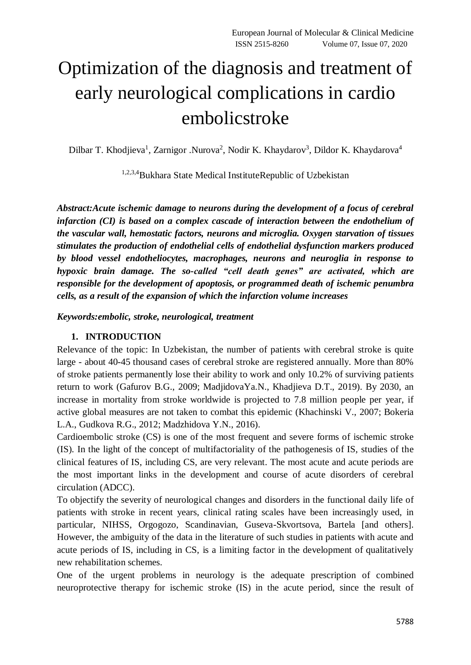# Optimization of the diagnosis and treatment of early neurological complications in cardio embolicstroke

Dilbar T. Khodjieva<sup>1</sup>, Zarnigor .Nurova<sup>2</sup>, Nodir K. Khaydarov<sup>3</sup>, Dildor K. Khaydarova<sup>4</sup>

1,2,3,4Bukhara State Medical InstituteRepublic of Uzbekistan

*Abstract:Acute ischemic damage to neurons during the development of a focus of cerebral infarction (CI) is based on a complex cascade of interaction between the endothelium of the vascular wall, hemostatic factors, neurons and microglia. Oxygen starvation of tissues stimulates the production of endothelial cells of endothelial dysfunction markers produced by blood vessel endotheliocytes, macrophages, neurons and neuroglia in response to hypoxic brain damage. The so-called "cell death genes" are activated, which are responsible for the development of apoptosis, or programmed death of ischemic penumbra cells, as a result of the expansion of which the infarction volume increases*

*Keywords:embolic, stroke, neurological, treatment*

## **1. INTRODUCTION**

Relevance of the topic: In Uzbekistan, the number of patients with cerebral stroke is quite large - about 40-45 thousand cases of cerebral stroke are registered annually. More than 80% of stroke patients permanently lose their ability to work and only 10.2% of surviving patients return to work (Gafurov B.G., 2009; MadjidovaYa.N., Khadjieva D.T., 2019). By 2030, an increase in mortality from stroke worldwide is projected to 7.8 million people per year, if active global measures are not taken to combat this epidemic (Khachinski V., 2007; Bokeria L.A., Gudkova R.G., 2012; Madzhidova Y.N., 2016).

Cardioembolic stroke (CS) is one of the most frequent and severe forms of ischemic stroke (IS). In the light of the concept of multifactoriality of the pathogenesis of IS, studies of the clinical features of IS, including CS, are very relevant. The most acute and acute periods are the most important links in the development and course of acute disorders of cerebral circulation (ADCC).

To objectify the severity of neurological changes and disorders in the functional daily life of patients with stroke in recent years, clinical rating scales have been increasingly used, in particular, NIHSS, Orgogozo, Scandinavian, Guseva-Skvortsova, Bartela [and others]. However, the ambiguity of the data in the literature of such studies in patients with acute and acute periods of IS, including in CS, is a limiting factor in the development of qualitatively new rehabilitation schemes.

One of the urgent problems in neurology is the adequate prescription of combined neuroprotective therapy for ischemic stroke (IS) in the acute period, since the result of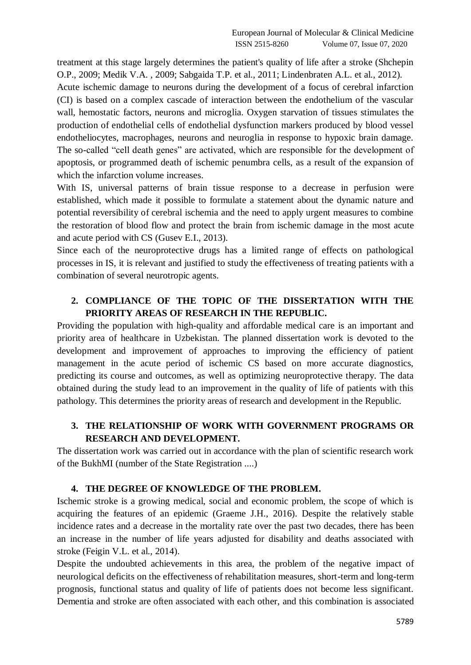treatment at this stage largely determines the patient's quality of life after a stroke (Shchepin O.P., 2009; Medik V.A. , 2009; Sabgaida T.P. et al., 2011; Lindenbraten A.L. et al., 2012).

Acute ischemic damage to neurons during the development of a focus of cerebral infarction (CI) is based on a complex cascade of interaction between the endothelium of the vascular wall, hemostatic factors, neurons and microglia. Oxygen starvation of tissues stimulates the production of endothelial cells of endothelial dysfunction markers produced by blood vessel endotheliocytes, macrophages, neurons and neuroglia in response to hypoxic brain damage. The so-called "cell death genes" are activated, which are responsible for the development of apoptosis, or programmed death of ischemic penumbra cells, as a result of the expansion of which the infarction volume increases.

With IS, universal patterns of brain tissue response to a decrease in perfusion were established, which made it possible to formulate a statement about the dynamic nature and potential reversibility of cerebral ischemia and the need to apply urgent measures to combine the restoration of blood flow and protect the brain from ischemic damage in the most acute and acute period with CS (Gusev E.I., 2013).

Since each of the neuroprotective drugs has a limited range of effects on pathological processes in IS, it is relevant and justified to study the effectiveness of treating patients with a combination of several neurotropic agents.

# **2. COMPLIANCE OF THE TOPIC OF THE DISSERTATION WITH THE PRIORITY AREAS OF RESEARCH IN THE REPUBLIC.**

Providing the population with high-quality and affordable medical care is an important and priority area of healthcare in Uzbekistan. The planned dissertation work is devoted to the development and improvement of approaches to improving the efficiency of patient management in the acute period of ischemic CS based on more accurate diagnostics, predicting its course and outcomes, as well as optimizing neuroprotective therapy. The data obtained during the study lead to an improvement in the quality of life of patients with this pathology. This determines the priority areas of research and development in the Republic.

# **3. THE RELATIONSHIP OF WORK WITH GOVERNMENT PROGRAMS OR RESEARCH AND DEVELOPMENT.**

The dissertation work was carried out in accordance with the plan of scientific research work of the BukhMI (number of the State Registration ....)

## **4. THE DEGREE OF KNOWLEDGE OF THE PROBLEM.**

Ischemic stroke is a growing medical, social and economic problem, the scope of which is acquiring the features of an epidemic (Graeme J.H., 2016). Despite the relatively stable incidence rates and a decrease in the mortality rate over the past two decades, there has been an increase in the number of life years adjusted for disability and deaths associated with stroke (Feigin V.L. et al., 2014).

Despite the undoubted achievements in this area, the problem of the negative impact of neurological deficits on the effectiveness of rehabilitation measures, short-term and long-term prognosis, functional status and quality of life of patients does not become less significant. Dementia and stroke are often associated with each other, and this combination is associated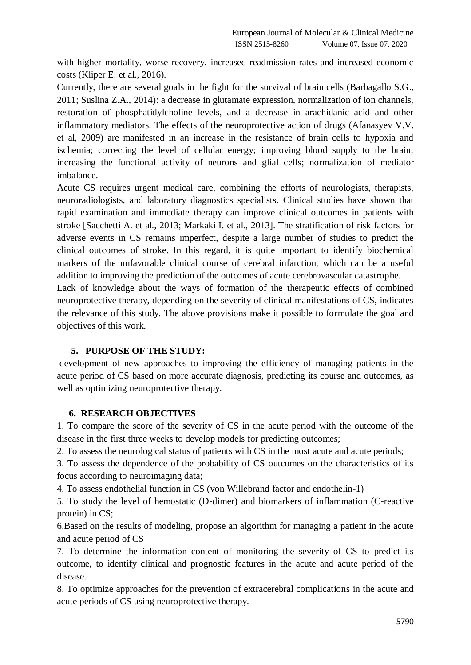with higher mortality, worse recovery, increased readmission rates and increased economic costs (Kliper E. et al., 2016).

Currently, there are several goals in the fight for the survival of brain cells (Barbagallo S.G., 2011; Suslina Z.A., 2014): a decrease in glutamate expression, normalization of ion channels, restoration of phosphatidylcholine levels, and a decrease in arachidanic acid and other inflammatory mediators. The effects of the neuroprotective action of drugs (Afanasyev V.V. et al, 2009) are manifested in an increase in the resistance of brain cells to hypoxia and ischemia; correcting the level of cellular energy; improving blood supply to the brain; increasing the functional activity of neurons and glial cells; normalization of mediator imbalance.

Acute CS requires urgent medical care, combining the efforts of neurologists, therapists, neuroradiologists, and laboratory diagnostics specialists. Clinical studies have shown that rapid examination and immediate therapy can improve clinical outcomes in patients with stroke [Sacchetti A. et al., 2013; Markaki I. et al., 2013]. The stratification of risk factors for adverse events in CS remains imperfect, despite a large number of studies to predict the clinical outcomes of stroke. In this regard, it is quite important to identify biochemical markers of the unfavorable clinical course of cerebral infarction, which can be a useful addition to improving the prediction of the outcomes of acute cerebrovascular catastrophe.

Lack of knowledge about the ways of formation of the therapeutic effects of combined neuroprotective therapy, depending on the severity of clinical manifestations of CS, indicates the relevance of this study. The above provisions make it possible to formulate the goal and objectives of this work.

#### **5. PURPOSE OF THE STUDY:**

development of new approaches to improving the efficiency of managing patients in the acute period of CS based on more accurate diagnosis, predicting its course and outcomes, as well as optimizing neuroprotective therapy.

#### **6. RESEARCH OBJECTIVES**

1. To compare the score of the severity of CS in the acute period with the outcome of the disease in the first three weeks to develop models for predicting outcomes;

2. To assess the neurological status of patients with CS in the most acute and acute periods;

3. To assess the dependence of the probability of CS outcomes on the characteristics of its focus according to neuroimaging data;

4. To assess endothelial function in CS (von Willebrand factor and endothelin-1)

5. To study the level of hemostatic (D-dimer) and biomarkers of inflammation (C-reactive protein) in CS;

6.Based on the results of modeling, propose an algorithm for managing a patient in the acute and acute period of CS

7. To determine the information content of monitoring the severity of CS to predict its outcome, to identify clinical and prognostic features in the acute and acute period of the disease.

8. To optimize approaches for the prevention of extracerebral complications in the acute and acute periods of CS using neuroprotective therapy.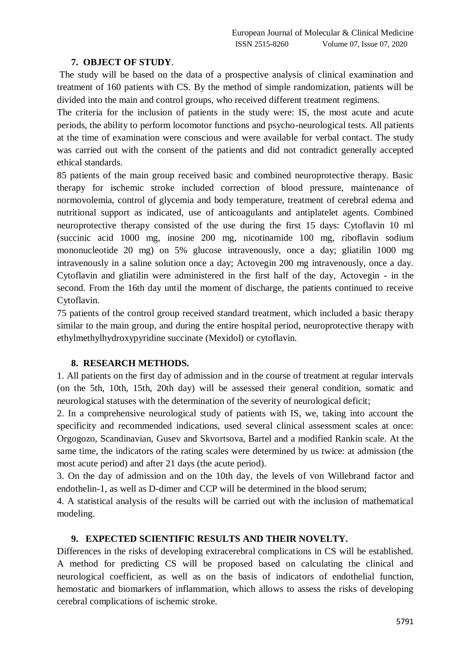#### **7. OBJECT OF STUDY**.

The study will be based on the data of a prospective analysis of clinical examination and treatment of 160 patients with CS. By the method of simple randomization, patients will be divided into the main and control groups, who received different treatment regimens.

The criteria for the inclusion of patients in the study were: IS, the most acute and acute periods, the ability to perform locomotor functions and psycho-neurological tests. All patients at the time of examination were conscious and were available for verbal contact. The study was carried out with the consent of the patients and did not contradict generally accepted ethical standards.

85 patients of the main group received basic and combined neuroprotective therapy. Basic therapy for ischemic stroke included correction of blood pressure, maintenance of normovolemia, control of glycemia and body temperature, treatment of cerebral edema and nutritional support as indicated, use of anticoagulants and antiplatelet agents. Combined neuroprotective therapy consisted of the use during the first 15 days: Cytoflavin 10 ml (succinic acid 1000 mg, inosine 200 mg, nicotinamide 100 mg, riboflavin sodium mononucleotide 20 mg) on 5% glucose intravenously, once a day; gliatilin 1000 mg intravenously in a saline solution once a day; Actovegin 200 mg intravenously, once a day. Cytoflavin and gliatilin were administered in the first half of the day, Actovegin - in the second. From the 16th day until the moment of discharge, the patients continued to receive Cytoflavin.

75 patients of the control group received standard treatment, which included a basic therapy similar to the main group, and during the entire hospital period, neuroprotective therapy with ethylmethylhydroxypyridine succinate (Mexidol) or cytoflavin.

## **8. RESEARCH METHODS.**

1. All patients on the first day of admission and in the course of treatment at regular intervals (on the 5th, 10th, 15th, 20th day) will be assessed their general condition, somatic and neurological statuses with the determination of the severity of neurological deficit;

2. In a comprehensive neurological study of patients with IS, we, taking into account the specificity and recommended indications, used several clinical assessment scales at once: Orgogozo, Scandinavian, Gusev and Skvortsova, Bartel and a modified Rankin scale. At the same time, the indicators of the rating scales were determined by us twice: at admission (the most acute period) and after 21 days (the acute period).

3. On the day of admission and on the 10th day, the levels of von Willebrand factor and endothelin-1, as well as D-dimer and CCP will be determined in the blood serum;

4. A statistical analysis of the results will be carried out with the inclusion of mathematical modeling.

## **9. EXPECTED SCIENTIFIC RESULTS AND THEIR NOVELTY.**

Differences in the risks of developing extracerebral complications in CS will be established. A method for predicting CS will be proposed based on calculating the clinical and neurological coefficient, as well as on the basis of indicators of endothelial function, hemostatic and biomarkers of inflammation, which allows to assess the risks of developing cerebral complications of ischemic stroke.